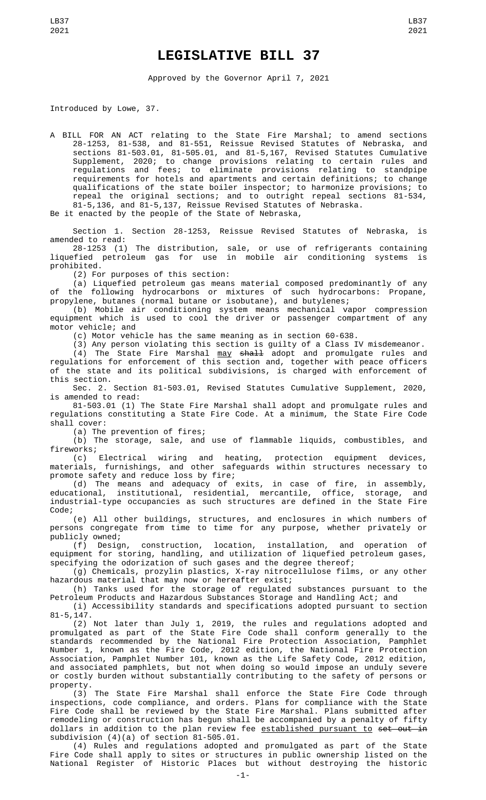## **LEGISLATIVE BILL 37**

Approved by the Governor April 7, 2021

Introduced by Lowe, 37.

A BILL FOR AN ACT relating to the State Fire Marshal; to amend sections 28-1253, 81-538, and 81-551, Reissue Revised Statutes of Nebraska, and sections 81-503.01, 81-505.01, and 81-5,167, Revised Statutes Cumulative Supplement, 2020; to change provisions relating to certain rules and regulations and fees; to eliminate provisions relating to standpipe requirements for hotels and apartments and certain definitions; to change qualifications of the state boiler inspector; to harmonize provisions; to repeal the original sections; and to outright repeal sections 81-534, 81-5,136, and 81-5,137, Reissue Revised Statutes of Nebraska.

Be it enacted by the people of the State of Nebraska,

Section 1. Section 28-1253, Reissue Revised Statutes of Nebraska, is amended to read:

28-1253 (1) The distribution, sale, or use of refrigerants containing liquefied petroleum gas for use in mobile air conditioning systems is prohibited.

(2) For purposes of this section:

(a) Liquefied petroleum gas means material composed predominantly of any of the following hydrocarbons or mixtures of such hydrocarbons: Propane, propylene, butanes (normal butane or isobutane), and butylenes;

(b) Mobile air conditioning system means mechanical vapor compression equipment which is used to cool the driver or passenger compartment of any motor vehicle; and

(c) Motor vehicle has the same meaning as in section 60-638.

(3) Any person violating this section is guilty of a Class IV misdemeanor. (4) The State Fire Marshal may shall adopt and promulgate rules and regulations for enforcement of this section and, together with peace officers of the state and its political subdivisions, is charged with enforcement of this section.

Sec. 2. Section 81-503.01, Revised Statutes Cumulative Supplement, 2020, is amended to read:

81-503.01 (1) The State Fire Marshal shall adopt and promulgate rules and regulations constituting a State Fire Code. At a minimum, the State Fire Code shall cover:

(a) The prevention of fires;

(b) The storage, sale, and use of flammable liquids, combustibles, and fireworks;

(c) Electrical wiring and heating, protection equipment devices, materials, furnishings, and other safeguards within structures necessary to promote safety and reduce loss by fire;

(d) The means and adequacy of exits, in case of fire, in assembly, educational, institutional, residential, mercantile, office, storage, and industrial-type occupancies as such structures are defined in the State Fire Code;

(e) All other buildings, structures, and enclosures in which numbers of persons congregate from time to time for any purpose, whether privately or publicly owned;

(f) Design, construction, location, installation, and operation of equipment for storing, handling, and utilization of liquefied petroleum gases, specifying the odorization of such gases and the degree thereof;

(g) Chemicals, prozylin plastics, X-ray nitrocellulose films, or any other hazardous material that may now or hereafter exist;

(h) Tanks used for the storage of regulated substances pursuant to the Petroleum Products and Hazardous Substances Storage and Handling Act; and

(i) Accessibility standards and specifications adopted pursuant to section 81-5,147.

(2) Not later than July 1, 2019, the rules and regulations adopted and promulgated as part of the State Fire Code shall conform generally to the standards recommended by the National Fire Protection Association, Pamphlet Number 1, known as the Fire Code, 2012 edition, the National Fire Protection Association, Pamphlet Number 101, known as the Life Safety Code, 2012 edition, and associated pamphlets, but not when doing so would impose an unduly severe or costly burden without substantially contributing to the safety of persons or property.

(3) The State Fire Marshal shall enforce the State Fire Code through inspections, code compliance, and orders. Plans for compliance with the State Fire Code shall be reviewed by the State Fire Marshal. Plans submitted after remodeling or construction has begun shall be accompanied by a penalty of fifty dollars in addition to the plan review fee established pursuant to set out in subdivision (4)(a) of section 81-505.01.

(4) Rules and regulations adopted and promulgated as part of the State Fire Code shall apply to sites or structures in public ownership listed on the National Register of Historic Places but without destroying the historic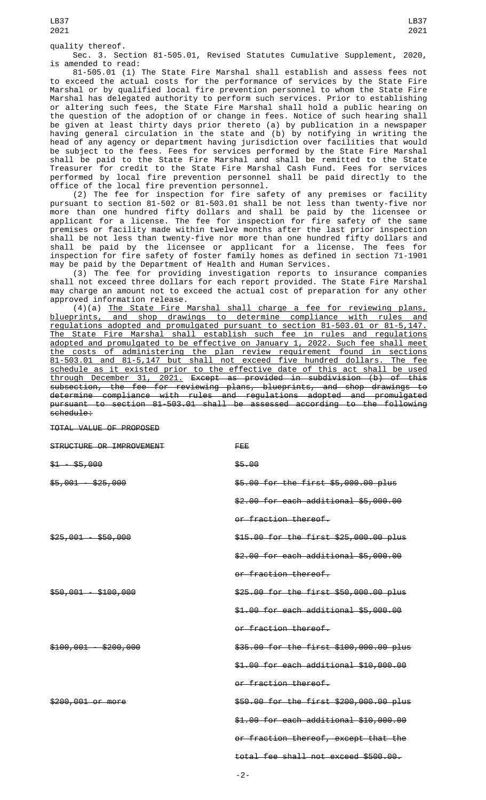Sec. 3. Section 81-505.01, Revised Statutes Cumulative Supplement, 2020, is amended to read:

81-505.01 (1) The State Fire Marshal shall establish and assess fees not to exceed the actual costs for the performance of services by the State Fire Marshal or by qualified local fire prevention personnel to whom the State Fire Marshal has delegated authority to perform such services. Prior to establishing or altering such fees, the State Fire Marshal shall hold a public hearing on the question of the adoption of or change in fees. Notice of such hearing shall be given at least thirty days prior thereto (a) by publication in a newspaper having general circulation in the state and (b) by notifying in writing the head of any agency or department having jurisdiction over facilities that would be subject to the fees. Fees for services performed by the State Fire Marshal shall be paid to the State Fire Marshal and shall be remitted to the State Treasurer for credit to the State Fire Marshal Cash Fund. Fees for services performed by local fire prevention personnel shall be paid directly to the office of the local fire prevention personnel.

(2) The fee for inspection for fire safety of any premises or facility pursuant to section 81-502 or 81-503.01 shall be not less than twenty-five nor more than one hundred fifty dollars and shall be paid by the licensee or applicant for a license. The fee for inspection for fire safety of the same premises or facility made within twelve months after the last prior inspection shall be not less than twenty-five nor more than one hundred fifty dollars and shall be paid by the licensee or applicant for a license. The fees for inspection for fire safety of foster family homes as defined in section 71-1901 may be paid by the Department of Health and Human Services.

(3) The fee for providing investigation reports to insurance companies shall not exceed three dollars for each report provided. The State Fire Marshal may charge an amount not to exceed the actual cost of preparation for any other approved information release.

(4)(a) The State Fire Marshal shall charge a fee for reviewing plans, blueprints, and shop drawings to determine compliance with rules and regulations adopted and promulgated pursuant to section 81-503.01 or 81-5,147. The State Fire Marshal shall establish such fee in rules and regulations adopted and promulgated to be effective on January 1, 2022. Such fee shall meet the costs of administering the plan review requirement found in sections 81-503.01 and 81-5,147 but shall not exceed five hundred dollars. The fee schedule as it existed prior to the effective date of this act shall be used through December 31, 2021. Except as provided in subdivision (b) of this subsection, the fee for reviewing plans, blueprints, and shop drawings to determine compliance with rules and regulations adopted and promulgated pursuant to section 81-503.01 shall be assessed according to the following schedule:

TOTAL VALUE OF PROPOSED

| STRUCTURE OR IMPROVEMENT | FEE                                     |
|--------------------------|-----------------------------------------|
| $$1 - $5,000$            | \$5.00                                  |
| $$5,001 - $25,000$       | \$5.00 for the first \$5,000.00 plus    |
|                          | \$2.00 for each additional \$5,000.00   |
|                          | or fraction thereof.                    |
| $$25,001 - $50,000$      | \$15.00 for the first \$25,000.00 plus  |
|                          | \$2.00 for each additional \$5,000.00   |
|                          | or fraction thereof.                    |
| $$50,001 - $100,000$     | \$25.00 for the first \$50,000.00 plus  |
|                          | \$1.00 for each additional \$5,000.00   |
|                          | or fraction thereof.                    |
| $$100,001 - $200,000$    | \$35.00 for the first \$100,000.00 plus |
|                          | \$1.00 for each additional \$10,000.00  |
|                          | or fraction thereof.                    |
| \$200,001 or more        | \$50.00 for the first \$200,000.00 plus |
|                          | \$1.00 for each additional \$10,000.00  |
|                          | or fraction thereof, except that the    |
|                          | total fee shall not exceed \$500.00.    |
|                          |                                         |

-2-